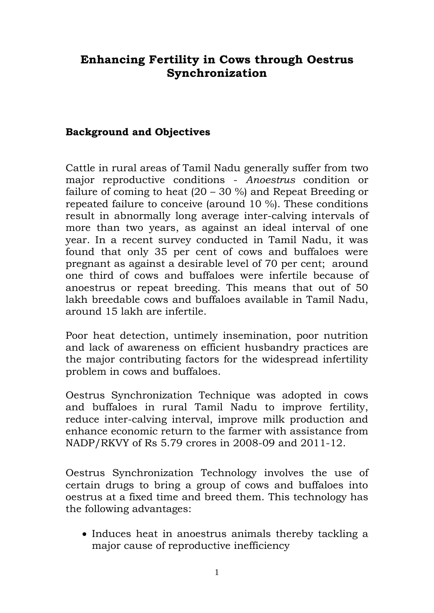# **Enhancing Fertility in Cows through Oestrus Synchronization**

## **Background and Objectives**

Cattle in rural areas of Tamil Nadu generally suffer from two major reproductive conditions - *Anoestrus* condition or failure of coming to heat (20 – 30 %) and Repeat Breeding or repeated failure to conceive (around 10 %). These conditions result in abnormally long average inter-calving intervals of more than two years, as against an ideal interval of one year. In a recent survey conducted in Tamil Nadu, it was found that only 35 per cent of cows and buffaloes were pregnant as against a desirable level of 70 per cent; around one third of cows and buffaloes were infertile because of anoestrus or repeat breeding. This means that out of 50 lakh breedable cows and buffaloes available in Tamil Nadu, around 15 lakh are infertile.

Poor heat detection, untimely insemination, poor nutrition and lack of awareness on efficient husbandry practices are the major contributing factors for the widespread infertility problem in cows and buffaloes.

Oestrus Synchronization Technique was adopted in cows and buffaloes in rural Tamil Nadu to improve fertility, reduce inter-calving interval, improve milk production and enhance economic return to the farmer with assistance from NADP/RKVY of Rs 5.79 crores in 2008-09 and 2011-12.

Oestrus Synchronization Technology involves the use of certain drugs to bring a group of cows and buffaloes into oestrus at a fixed time and breed them. This technology has the following advantages:

• Induces heat in anoestrus animals thereby tackling a major cause of reproductive inefficiency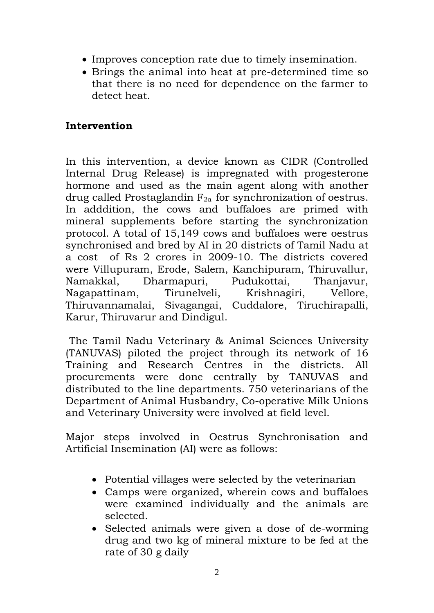- Improves conception rate due to timely insemination.
- Brings the animal into heat at pre-determined time so that there is no need for dependence on the farmer to detect heat.

## **Intervention**

In this intervention, a device known as CIDR (Controlled Internal Drug Release) is impregnated with progesterone hormone and used as the main agent along with another drug called Prostaglandin  $F_{2a}$  for synchronization of oestrus. In adddition, the cows and buffaloes are primed with mineral supplements before starting the synchronization protocol. A total of 15,149 cows and buffaloes were oestrus synchronised and bred by AI in 20 districts of Tamil Nadu at a cost of Rs 2 crores in 2009-10. The districts covered were Villupuram, Erode, Salem, Kanchipuram, Thiruvallur, Namakkal, Dharmapuri, Pudukottai, Thanjavur, Nagapattinam, Tirunelveli, Krishnagiri, Vellore, Thiruvannamalai, Sivagangai, Cuddalore, Tiruchirapalli, Karur, Thiruvarur and Dindigul.

The Tamil Nadu Veterinary & Animal Sciences University (TANUVAS) piloted the project through its network of 16 Training and Research Centres in the districts. All procurements were done centrally by TANUVAS and distributed to the line departments. 750 veterinarians of the Department of Animal Husbandry, Co-operative Milk Unions and Veterinary University were involved at field level.

Major steps involved in Oestrus Synchronisation and Artificial Insemination (AI) were as follows:

- Potential villages were selected by the veterinarian
- Camps were organized, wherein cows and buffaloes were examined individually and the animals are selected.
- Selected animals were given a dose of de-worming drug and two kg of mineral mixture to be fed at the rate of 30 g daily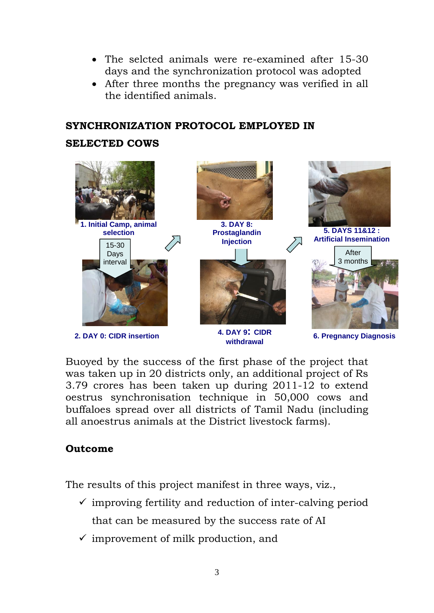- The selcted animals were re-examined after 15-30 days and the synchronization protocol was adopted
- After three months the pregnancy was verified in all the identified animals.

### **SYNCHRONIZATION PROTOCOL EMPLOYED IN**

#### **SELECTED COWS**



**withdrawal**

**6. Pregnancy Diagnosis**

Buoyed by the success of the first phase of the project that was taken up in 20 districts only, an additional project of Rs 3.79 crores has been taken up during 2011-12 to extend oestrus synchronisation technique in 50,000 cows and buffaloes spread over all districts of Tamil Nadu (including all anoestrus animals at the District livestock farms).

### **Outcome**

The results of this project manifest in three ways, viz.,

- $\checkmark$  improving fertility and reduction of inter-calving period that can be measured by the success rate of AI
- $\checkmark$  improvement of milk production, and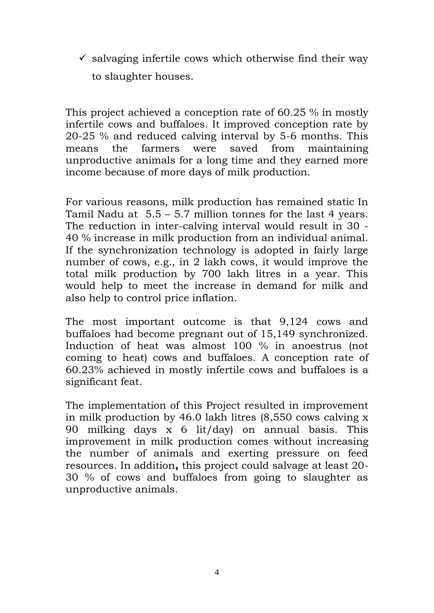$\checkmark$  salvaging infertile cows which otherwise find their way to slaughter houses.

This project achieved a conception rate of 60.25 % in mostly infertile cows and buffaloes. It improved conception rate by 20-25 % and reduced calving interval by 5-6 months. This means the farmers were saved from maintaining unproductive animals for a long time and they earned more income because of more days of milk production.

For various reasons, milk production has remained static In Tamil Nadu at 5.5 – 5.7 million tonnes for the last 4 years. The reduction in inter-calving interval would result in 30 - 40 % increase in milk production from an individual animal. If the synchronization technology is adopted in fairly large number of cows, e.g., in 2 lakh cows, it would improve the total milk production by 700 lakh litres in a year. This would help to meet the increase in demand for milk and also help to control price inflation.

The most important outcome is that 9,124 cows and buffaloes had become pregnant out of 15,149 synchronized. Induction of heat was almost 100 % in anoestrus (not coming to heat) cows and buffaloes. A conception rate of 60.23% achieved in mostly infertile cows and buffaloes is a significant feat.

The implementation of this Project resulted in improvement in milk production by 46.0 lakh litres (8,550 cows calving x 90 milking days x 6 lit/day) on annual basis. This improvement in milk production comes without increasing the number of animals and exerting pressure on feed resources. In addition**,** this project could salvage at least 20- 30 % of cows and buffaloes from going to slaughter as unproductive animals.